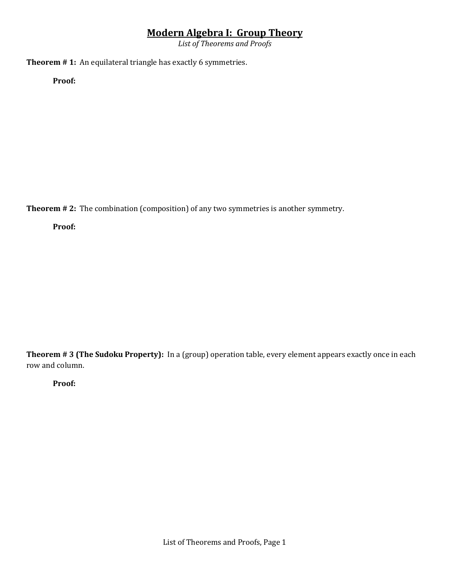*List of Theorems and Proofs*

**Theorem # 1:** An equilateral triangle has exactly 6 symmetries.

**Proof:** 

**Theorem # 2:** The combination (composition) of any two symmetries is another symmetry.

**Proof:** 

**Theorem # 3 (The Sudoku Property):** In a (group) operation table, every element appears exactly once in each row and column.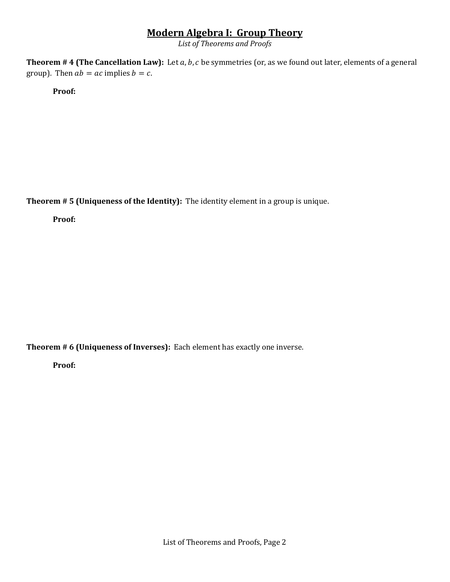*List of Theorems and Proofs*

**Theorem # 4 (The Cancellation Law):** Let a, b, c be symmetries (or, as we found out later, elements of a general group). Then  $ab = ac$  implies  $b = c$ .

**Proof:** 

**Theorem # 5 (Uniqueness of the Identity):** The identity element in a group is unique.

**Proof:** 

**Theorem # 6 (Uniqueness of Inverses):** Each element has exactly one inverse.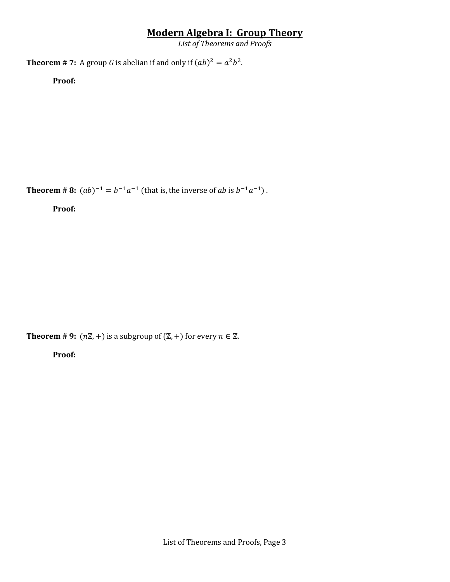*List of Theorems and Proofs*

**Theorem # 7:** A group G is abelian if and only if  $(ab)^2 = a^2b^2$ .

**Proof:** 

**Theorem # 8:**  $(ab)^{-1} = b^{-1}a^{-1}$  (that is, the inverse of ab is  $b^{-1}a^{-1}$ ).

**Proof:** 

**Theorem # 9:**  $(n\mathbb{Z}, +)$  is a subgroup of  $(\mathbb{Z}, +)$  for every  $n \in \mathbb{Z}$ .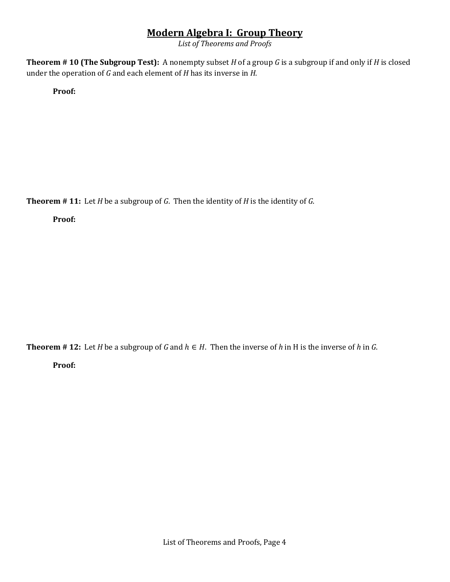*List of Theorems and Proofs*

**Theorem # 10 (The Subgroup Test):** A nonempty subset *H* of a group *G* is a subgroup if and only if *H* is closed under the operation of *G* and each element of *H* has its inverse in *H*.

**Proof:** 

**Theorem # 11:** Let *H* be a subgroup of *G*. Then the identity of *H* is the identity of *G*.

**Proof:** 

**Theorem** # 12: Let *H* be a subgroup of *G* and  $h \in H$ . Then the inverse of *h* in *H* is the inverse of *h* in *G*. **Proof:**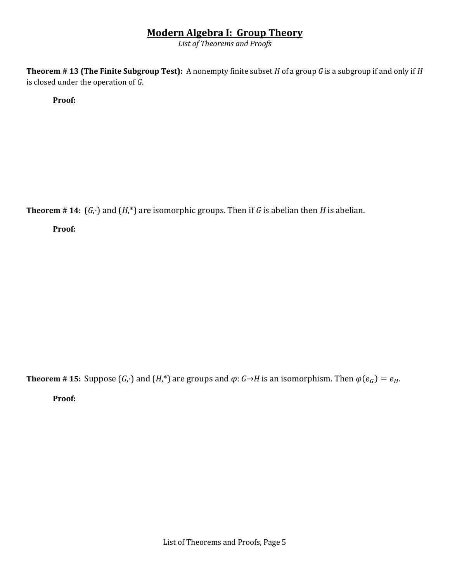*List of Theorems and Proofs*

**Theorem # 13 (The Finite Subgroup Test):** A nonempty finite subset *H* of a group *G* is a subgroup if and only if *H*  is closed under the operation of *G*.

**Proof:** 

**Theorem** # 14:  $(G, \cdot)$  and  $(H, *)$  are isomorphic groups. Then if *G* is abelian then *H* is abelian.

**Proof:** 

**Theorem** # 15: Suppose  $(G, \cdot)$  and  $(H, \cdot)$  are groups and  $\varphi: G \rightarrow H$  is an isomorphism. Then  $\varphi(e_G) = e_H$ .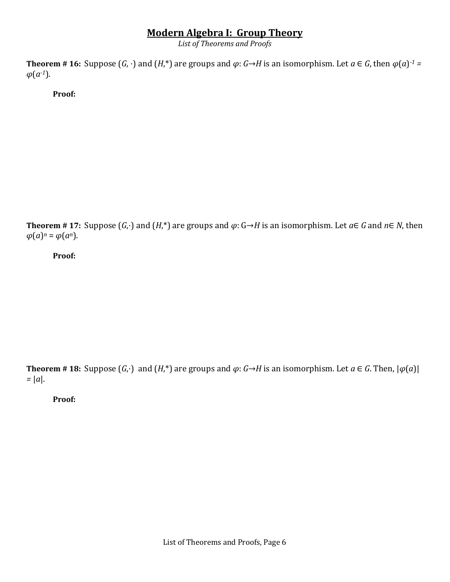*List of Theorems and Proofs*

**Theorem** # 16: Suppose  $(G, \cdot)$  and  $(H,^*)$  are groups and  $\varphi: G \rightarrow H$  is an isomorphism. Let  $a \in G$ , then  $\varphi(a)^{-1} =$  $\varphi(a^{-1})$ .

**Proof:** 

**Theorem** # **17:** Suppose  $(G, \cdot)$  and  $(H, \cdot)$  are groups and  $\varphi: G \rightarrow H$  is an isomorphism. Let  $a \in G$  and  $n \in N$ , then  $\varphi(a)^n = \varphi(a^n)$ .

**Proof:** 

**Theorem** # 18: Suppose  $(G, \cdot)$  and  $(H, \cdot)$  are groups and  $\varphi: G \rightarrow H$  is an isomorphism. Let  $a \in G$ . Then,  $|\varphi(a)|$ *=* |*a*|.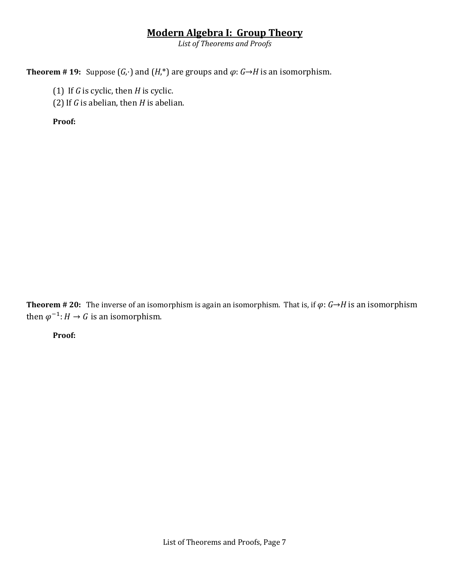*List of Theorems and Proofs*

**Theorem** # 19: Suppose  $(G, \cdot)$  and  $(H, \cdot)$  are groups and  $\varphi: G \rightarrow H$  is an isomorphism.

(1) If *G* is cyclic, then *H* is cyclic.

(2)If *G* is abelian, then *H* is abelian.

**Proof:** 

**Theorem** # 20: The inverse of an isomorphism is again an isomorphism. That is, if  $\varphi$ :  $G \rightarrow H$  is an isomorphism then  $\varphi^{-1}$ :  $H \to G$  is an isomorphism.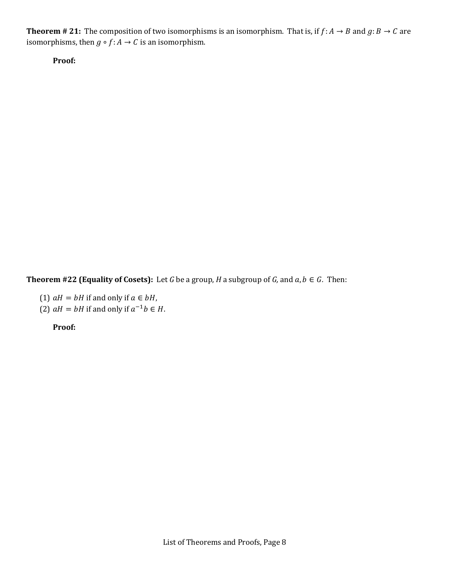**Theorem # 21:** The composition of two isomorphisms is an isomorphism. That is, if  $f: A \to B$  and  $g: B \to C$  are isomorphisms, then  $g \circ f : A \to C$  is an isomorphism.

**Proof:** 

**Theorem #22 (Equality of Cosets):** Let *G* be a group, *H* a subgroup of *G*, and  $a, b \in G$ . Then:

- (1)  $aH = bH$  if and only if  $a \in bH$ ,
- (2)  $aH = bH$  if and only if  $a^{-1}b \in H$ .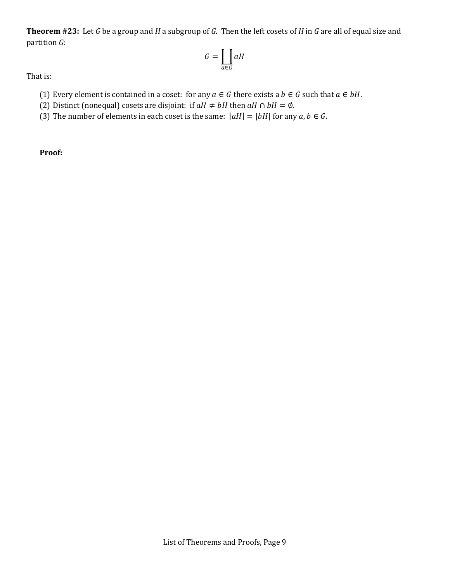**Theorem #23:** Let *G* be a group and *H* a subgroup of *G*. Then the left cosets of *H* in *G* are all of equal size and partition *G*:

$$
G = \coprod_{\alpha \in G} \alpha H
$$

That is:

- (1) Every element is contained in a coset: for any  $a \in G$  there exists a  $b \in G$  such that  $a \in bH$ .
- (2) Distinct (nonequal) cosets are disjoint: if  $aH \neq bH$  then  $aH \cap bH = \emptyset$ .
- (3) The number of elements in each coset is the same:  $|aH| = |bH|$  for any  $a, b \in G$ .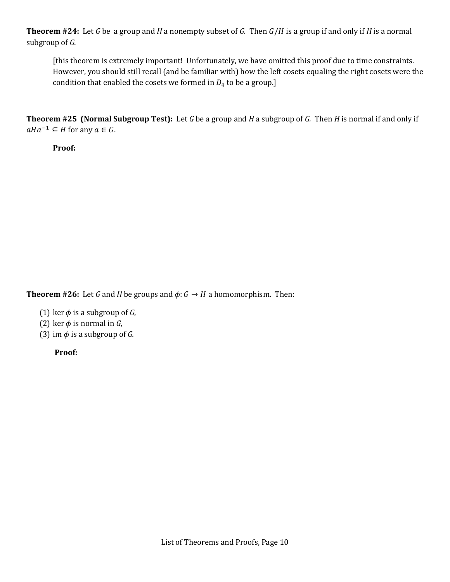**Theorem #24:** Let *G* be a group and *H* a nonempty subset of *G*. Then  $G/H$  is a group if and only if *H* is a normal subgroup of *G.*

[this theorem is extremely important! Unfortunately, we have omitted this proof due to time constraints. However, you should still recall (and be familiar with) how the left cosets equaling the right cosets were the condition that enabled the cosets we formed in  $D_4$  to be a group.]

**Theorem #25 (Normal Subgroup Test):** Let *G* be a group and *H* a subgroup of *G.* Then *H* is normal if and only if  $aHa^{-1} \subseteq H$  for any  $a \in G$ .

**Proof:**

**Theorem #26:** Let *G* and *H* be groups and  $\phi$ : *G*  $\rightarrow$  *H* a homomorphism. Then:

- (1) ker  $\phi$  is a subgroup of *G*,
- (2) ker  $\phi$  is normal in *G*,
- (3) im  $\phi$  is a subgroup of *G*.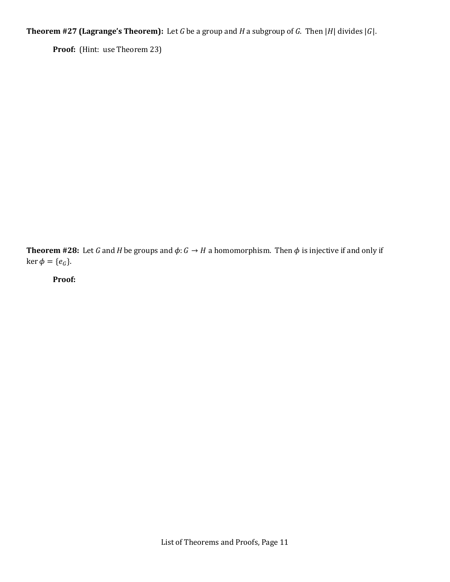**Theorem #27 (Lagrange's Theorem):** Let *G* be a group and *H* a subgroup of *G*. Then |*H*| divides |*G*|.

Proof: (Hint: use Theorem 23)

**Theorem #28:** Let *G* and *H* be groups and  $\phi$ : *G*  $\rightarrow$  *H* a homomorphism. Then  $\phi$  is injective if and only if  $\ker \phi = \{e_G\}.$